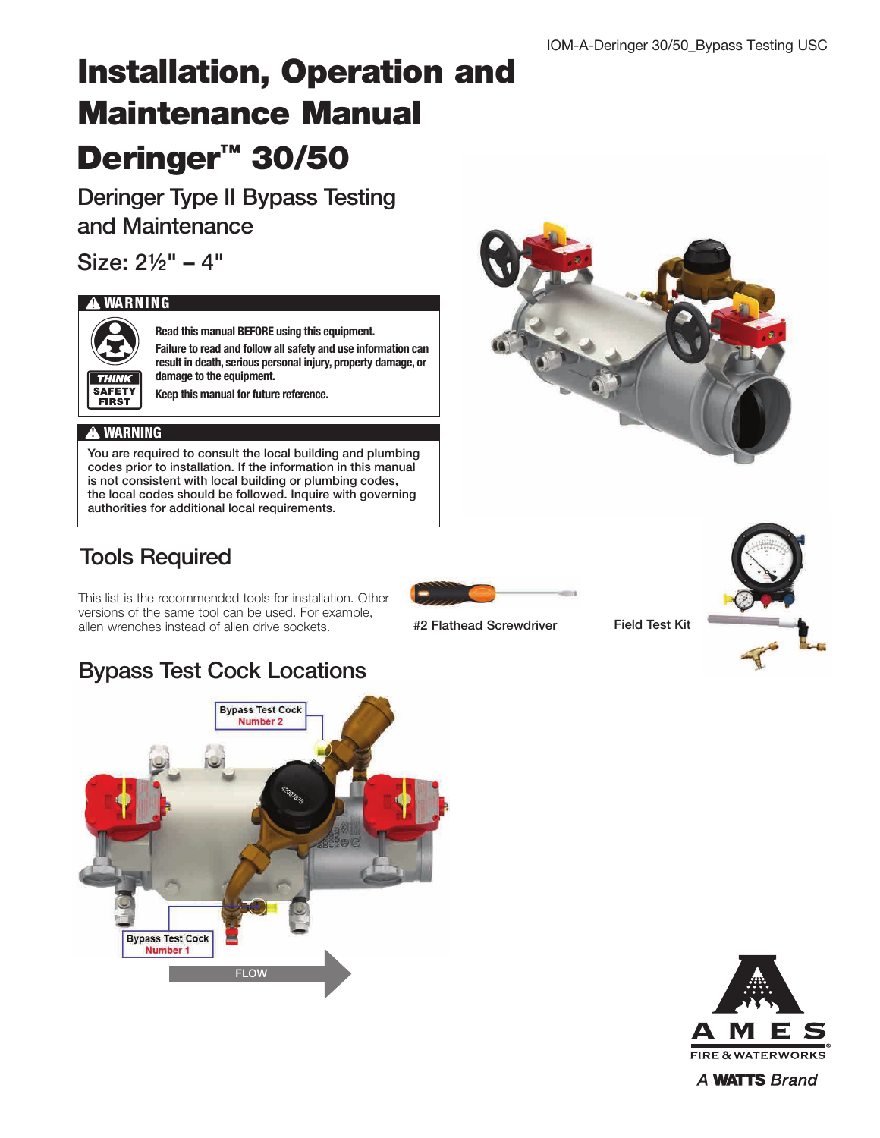# Installation, Operation and Maintenance Manual Deringer<sup>™</sup> 30/50

Deringer Type II Bypass Testing and Maintenance

Size: 2½" – 4"

#### **!** WARNING



Read this manual BEFORE using this equipment.

Failure to read and follow all safety and use information can result in death, serious personal injury, property damage, or damage to the equipment.

Keep this manual for future reference.

#### **!** WARNING

You are required to consult the local building and plumbing codes prior to installation. If the information in this manual is not consistent with local building or plumbing codes, the local codes should be followed. Inquire with governing authorities for additional local requirements.

## Tools Required

This list is the recommended tools for installation. Other versions of the same tool can be used. For example, allen wrenches instead of allen drive sockets.

#2 Flathead Screwdriver Field Test Kit



## Bypass Test Cock Locations





A **WATTS** Brand

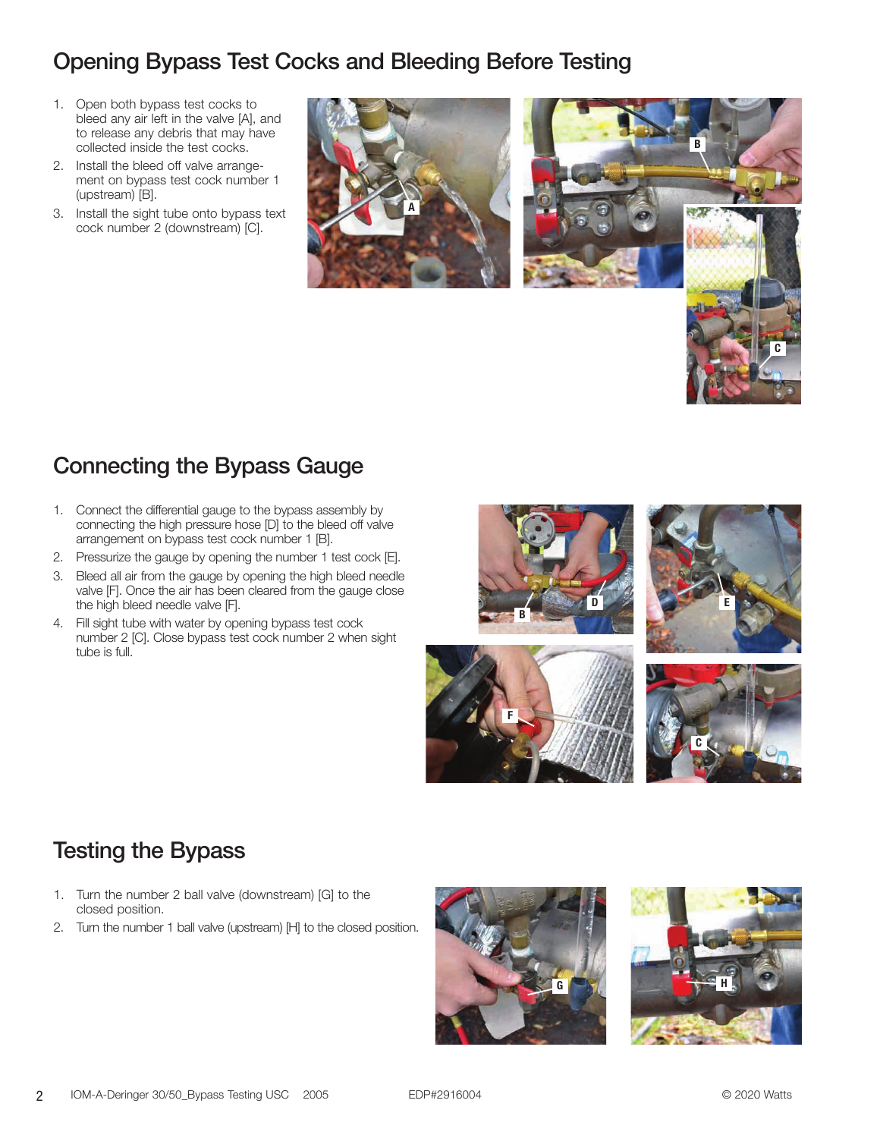#### Opening Bypass Test Cocks and Bleeding Before Testing

- 1. Open both bypass test cocks to bleed any air left in the valve [A], and to release any debris that may have collected inside the test cocks.
- 2. Install the bleed off valve arrangement on bypass test cock number 1 (upstream) [B].
- 3. Install the sight tube onto bypass text cock number 2 (downstream) [C].





## Connecting the Bypass Gauge

- 1. Connect the differential gauge to the bypass assembly by connecting the high pressure hose [D] to the bleed off valve arrangement on bypass test cock number 1 [B].
- 2. Pressurize the gauge by opening the number 1 test cock [E].
- 3. Bleed all air from the gauge by opening the high bleed needle valve [F]. Once the air has been cleared from the gauge close the high bleed needle valve [F].
- 4. Fill sight tube with water by opening bypass test cock number 2 [C]. Close bypass test cock number 2 when sight tube is full.







## Testing the Bypass

- 1. Turn the number 2 ball valve (downstream) [G] to the closed position.
- 2. Turn the number 1 ball valve (upstream) [H] to the closed position.



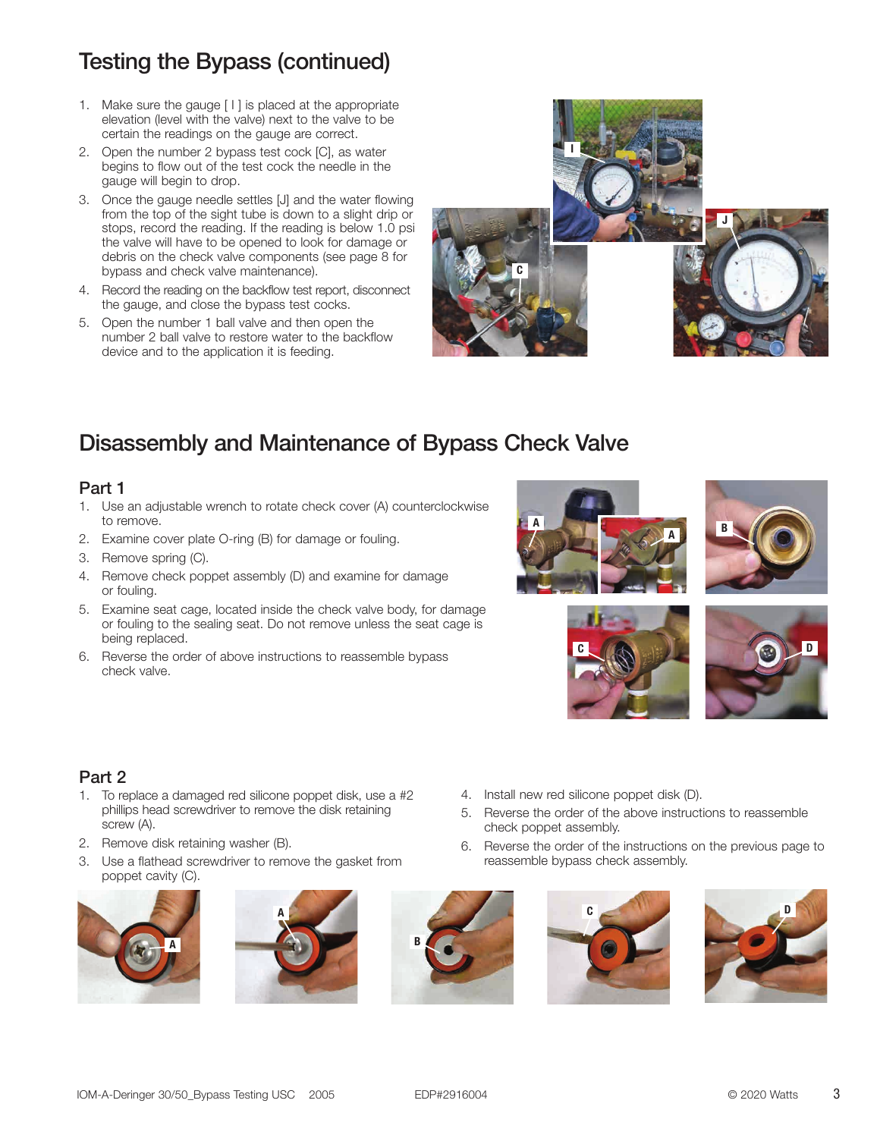## Testing the Bypass (continued)

- 1. Make sure the gauge [ I ] is placed at the appropriate elevation (level with the valve) next to the valve to be certain the readings on the gauge are correct.
- 2. Open the number 2 bypass test cock [C], as water begins to flow out of the test cock the needle in the gauge will begin to drop.
- 3. Once the gauge needle settles [J] and the water flowing from the top of the sight tube is down to a slight drip or stops, record the reading. If the reading is below 1.0 psi the valve will have to be opened to look for damage or debris on the check valve components (see page 8 for bypass and check valve maintenance).
- 4. Record the reading on the backflow test report, disconnect the gauge, and close the bypass test cocks.
- 5. Open the number 1 ball valve and then open the number 2 ball valve to restore water to the backflow device and to the application it is feeding.



## Disassembly and Maintenance of Bypass Check Valve

#### Part 1

- 1. Use an adjustable wrench to rotate check cover (A) counterclockwise to remove.
- 2. Examine cover plate O-ring (B) for damage or fouling.
- 3. Remove spring (C).
- 4. Remove check poppet assembly (D) and examine for damage or fouling.
- 5. Examine seat cage, located inside the check valve body, for damage or fouling to the sealing seat. Do not remove unless the seat cage is being replaced.
- 6. Reverse the order of above instructions to reassemble bypass check valve.







5. Reverse the order of the above instructions to reassemble

6. Reverse the order of the instructions on the previous page to



#### Part 2

- 1. To replace a damaged red silicone poppet disk, use a #2 phillips head screwdriver to remove the disk retaining screw (A).
- 2. Remove disk retaining washer (B).
- 3. Use a flathead screwdriver to remove the gasket from poppet cavity (C).









4. Install new red silicone poppet disk (D).

reassemble bypass check assembly.

check poppet assembly.